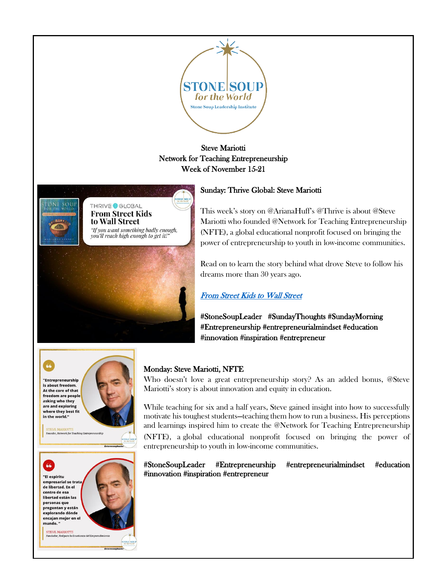

# Steve Mariotti Network for Teaching Entrepreneurship Week of November 15-21



## Sunday: Thrive Global: Steve Mariotti

This week's story on @ArianaHuff's @Thrive is about @Steve Mariotti who founded @Network for Teaching Entrepreneurship (NFTE), a global educational nonprofit focused on bringing the power of entrepreneurship to youth in low-income communities.

Read on to learn the story behind what drove Steve to follow his dreams more than 30 years ago.

# [From Street Kids to Wall Street](https://thriveglobal.com/stories/from-street-kids-to-wall-street/)

#StoneSoupLeader #SundayThoughts #SundayMorning #Entrepreneurship #entrepreneurialmindset #education #innovation #inspiration #entrepreneur





rk for Teaching Entrey

in the world."



## Monday: Steve Mariotti, NFTE

Who doesn't love a great entrepreneurship story? As an added bonus, @Steve Mariotti's story is about innovation and equity in education.

While teaching for six and a half years, Steve gained insight into how to successfully motivate his toughest students—teaching them how to run a business. His perceptions and learnings inspired him to create the @Network for Teaching Entrepreneurship (NFTE), a global educational nonprofit focused on bringing the power of entrepreneurship to youth in low-income communities.

#StoneSoupLeader #Entrepreneurship #entrepreneurialmindset #education #innovation #inspiration #entrepreneur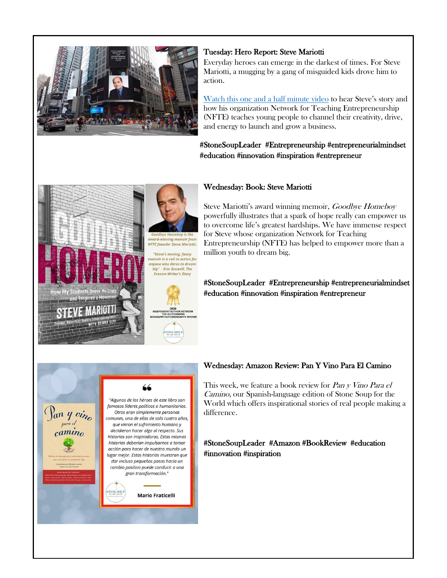

#### Tuesday: Hero Report: Steve Mariotti

Everyday heroes can emerge in the darkest of times. For Steve Mariotti, a mugging by a gang of misguided kids drove him to action.

[Watch this one and a half minute video](https://youtu.be/ADVp5pxINT4) to hear Steve's story and how his organization Network for Teaching Entrepreneurship (NFTE) teaches young people to channel their creativity, drive, and energy to launch and grow a business.

#StoneSoupLeader #Entrepreneurship #entrepreneurialmindset #education #innovation #inspiration #entrepreneur



## Wednesday: Book: Steve Mariotti

oy is ti

Steve Mariotti's award winning memoir, Goodbye Homeboy powerfully illustrates that a spark of hope really can empower us to overcome life's greatest hardships. We have immense respect for Steve whose organization Network for Teaching Entrepreneurship (NFTE) has helped to empower more than a million youth to dream big.

#StoneSoupLeader #Entrepreneurship #entrepreneurialmindset #education #innovation #inspiration #entrepreneur



#### Wednesday: Amazon Review: Pan Y Vino Para El Camino

This week, we feature a book review for *Pan y Vino Para el* Camino, our Spanish-language edition of Stone Soup for the World which offers inspirational stories of real people making a difference.

#### #StoneSoupLeader #Amazon #BookReview #education #innovation #inspiration